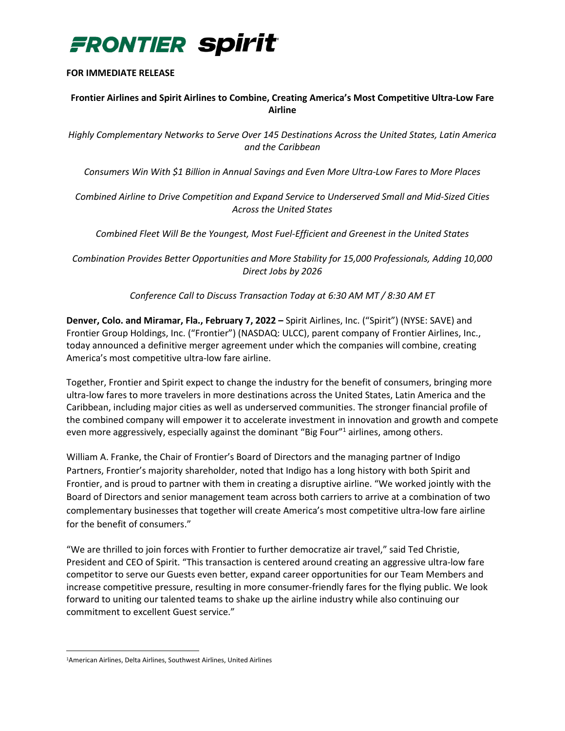#### **FOR IMMEDIATE RELEASE**

#### **Frontier Airlines and Spirit Airlines to Combine, Creating America's Most Competitive Ultra-Low Fare Airline**

*Highly Complementary Networks to Serve Over 145 Destinations Across the United States, Latin America and the Caribbean*

*Consumers Win With \$1 Billion in Annual Savings and Even More Ultra-Low Fares to More Places*

*Combined Airline to Drive Competition and Expand Service to Underserved Small and Mid-Sized Cities Across the United States*

*Combined Fleet Will Be the Youngest, Most Fuel-Efficient and Greenest in the United States*

*Combination Provides Better Opportunities and More Stability for 15,000 Professionals, Adding 10,000 Direct Jobs by 2026*

*Conference Call to Discuss Transaction Today at 6:30 AM MT / 8:30 AM ET*

**Denver, Colo. and Miramar, Fla., February 7, 2022 –** Spirit Airlines, Inc. ("Spirit") (NYSE: SAVE) and Frontier Group Holdings, Inc. ("Frontier") (NASDAQ: ULCC), parent company of Frontier Airlines, Inc., today announced a definitive merger agreement under which the companies will combine, creating America's most competitive ultra-low fare airline.

Together, Frontier and Spirit expect to change the industry for the benefit of consumers, bringing more ultra-low fares to more travelers in more destinations across the United States, Latin America and the Caribbean, including major cities as well as underserved communities. The stronger financial profile of the combined company will empower it to accelerate investment in innovation and growth and compete even more aggressively, especially against the dominant "Big Four"<sup>1</sup> airlines, among others.

William A. Franke, the Chair of Frontier's Board of Directors and the managing partner of Indigo Partners, Frontier's majority shareholder, noted that Indigo has a long history with both Spirit and Frontier, and is proud to partner with them in creating a disruptive airline. "We worked jointly with the Board of Directors and senior management team across both carriers to arrive at a combination of two complementary businesses that together will create America's most competitive ultra-low fare airline for the benefit of consumers."

"We are thrilled to join forces with Frontier to further democratize air travel," said Ted Christie, President and CEO of Spirit. "This transaction is centered around creating an aggressive ultra-low fare competitor to serve our Guests even better, expand career opportunities for our Team Members and increase competitive pressure, resulting in more consumer-friendly fares for the flying public. We look forward to uniting our talented teams to shake up the airline industry while also continuing our commitment to excellent Guest service."

<sup>1</sup>American Airlines, Delta Airlines, Southwest Airlines, United Airlines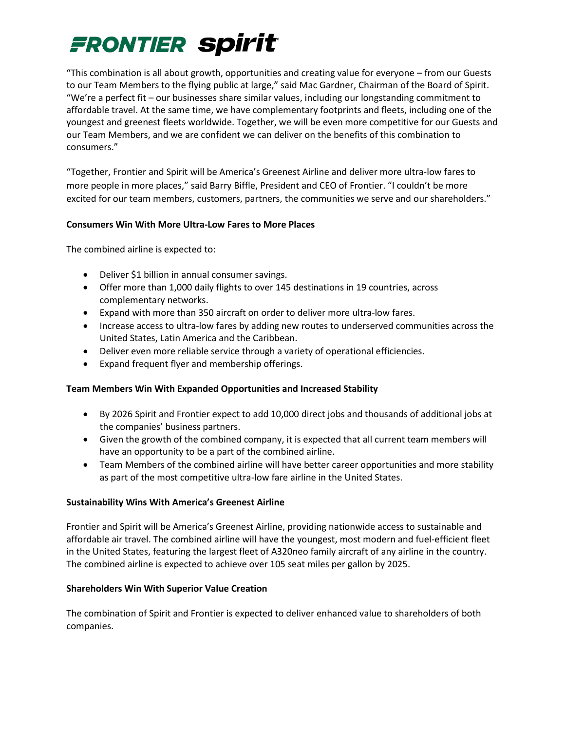"This combination is all about growth, opportunities and creating value for everyone – from our Guests to our Team Members to the flying public at large," said Mac Gardner, Chairman of the Board of Spirit. "We're a perfect fit – our businesses share similar values, including our longstanding commitment to affordable travel. At the same time, we have complementary footprints and fleets, including one of the youngest and greenest fleets worldwide. Together, we will be even more competitive for our Guests and our Team Members, and we are confident we can deliver on the benefits of this combination to consumers."

"Together, Frontier and Spirit will be America's Greenest Airline and deliver more ultra-low fares to more people in more places," said Barry Biffle, President and CEO of Frontier. "I couldn't be more excited for our team members, customers, partners, the communities we serve and our shareholders."

### **Consumers Win With More Ultra-Low Fares to More Places**

The combined airline is expected to:

- Deliver \$1 billion in annual consumer savings.
- Offer more than 1,000 daily flights to over 145 destinations in 19 countries, across complementary networks.
- Expand with more than 350 aircraft on order to deliver more ultra-low fares.
- Increase access to ultra-low fares by adding new routes to underserved communities across the United States, Latin America and the Caribbean.
- Deliver even more reliable service through a variety of operational efficiencies.
- Expand frequent flyer and membership offerings.

# **Team Members Win With Expanded Opportunities and Increased Stability**

- By 2026 Spirit and Frontier expect to add 10,000 direct jobs and thousands of additional jobs at the companies' business partners.
- Given the growth of the combined company, it is expected that all current team members will have an opportunity to be a part of the combined airline.
- Team Members of the combined airline will have better career opportunities and more stability as part of the most competitive ultra-low fare airline in the United States.

# **Sustainability Wins With America's Greenest Airline**

Frontier and Spirit will be America's Greenest Airline, providing nationwide access to sustainable and affordable air travel. The combined airline will have the youngest, most modern and fuel-efficient fleet in the United States, featuring the largest fleet of A320neo family aircraft of any airline in the country. The combined airline is expected to achieve over 105 seat miles per gallon by 2025.

# **Shareholders Win With Superior Value Creation**

The combination of Spirit and Frontier is expected to deliver enhanced value to shareholders of both companies.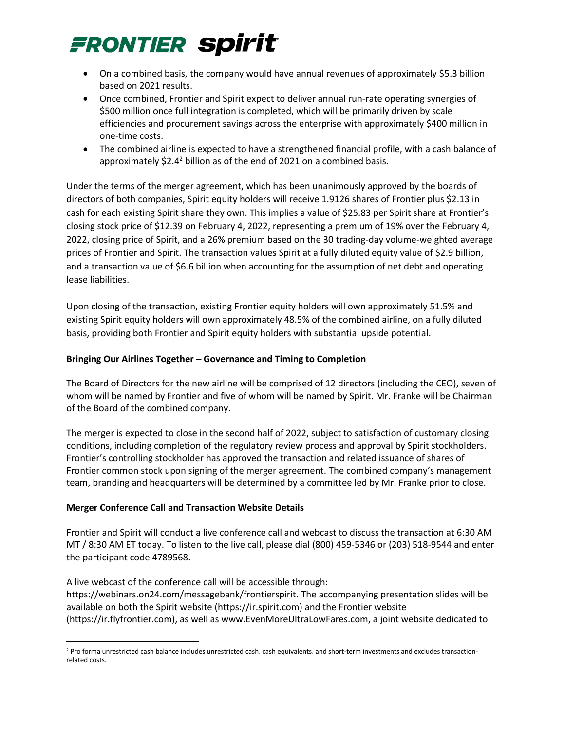- On a combined basis, the company would have annual revenues of approximately \$5.3 billion based on 2021 results.
- Once combined, Frontier and Spirit expect to deliver annual run-rate operating synergies of \$500 million once full integration is completed, which will be primarily driven by scale efficiencies and procurement savings across the enterprise with approximately \$400 million in one-time costs.
- The combined airline is expected to have a strengthened financial profile, with a cash balance of approximately \$2.4<sup>2</sup> billion as of the end of 2021 on a combined basis.

Under the terms of the merger agreement, which has been unanimously approved by the boards of directors of both companies, Spirit equity holders will receive 1.9126 shares of Frontier plus \$2.13 in cash for each existing Spirit share they own. This implies a value of \$25.83 per Spirit share at Frontier's closing stock price of \$12.39 on February 4, 2022, representing a premium of 19% over the February 4, 2022, closing price of Spirit, and a 26% premium based on the 30 trading-day volume-weighted average prices of Frontier and Spirit. The transaction values Spirit at a fully diluted equity value of \$2.9 billion, and a transaction value of \$6.6 billion when accounting for the assumption of net debt and operating lease liabilities.

Upon closing of the transaction, existing Frontier equity holders will own approximately 51.5% and existing Spirit equity holders will own approximately 48.5% of the combined airline, on a fully diluted basis, providing both Frontier and Spirit equity holders with substantial upside potential.

### **Bringing Our Airlines Together – Governance and Timing to Completion**

The Board of Directors for the new airline will be comprised of 12 directors (including the CEO), seven of whom will be named by Frontier and five of whom will be named by Spirit. Mr. Franke will be Chairman of the Board of the combined company.

The merger is expected to close in the second half of 2022, subject to satisfaction of customary closing conditions, including completion of the regulatory review process and approval by Spirit stockholders. Frontier's controlling stockholder has approved the transaction and related issuance of shares of Frontier common stock upon signing of the merger agreement. The combined company's management team, branding and headquarters will be determined by a committee led by Mr. Franke prior to close.

# **Merger Conference Call and Transaction Website Details**

Frontier and Spirit will conduct a live conference call and webcast to discuss the transaction at 6:30 AM MT / 8:30 AM ET today. To listen to the live call, please dial (800) 459-5346 or (203) 518-9544 and enter the participant code 4789568.

A live webcast of the conference call will be accessible through: https://webinars.on24.com/messagebank/frontierspirit. The accompanying presentation slides will be available on both the Spirit website (https://ir.spirit.com) and the Frontier website (https://ir.flyfrontier.com), as well as www.EvenMoreUltraLowFares.com, a joint website dedicated to

<sup>&</sup>lt;sup>2</sup> Pro forma unrestricted cash balance includes unrestricted cash, cash equivalents, and short-term investments and excludes transactionrelated costs.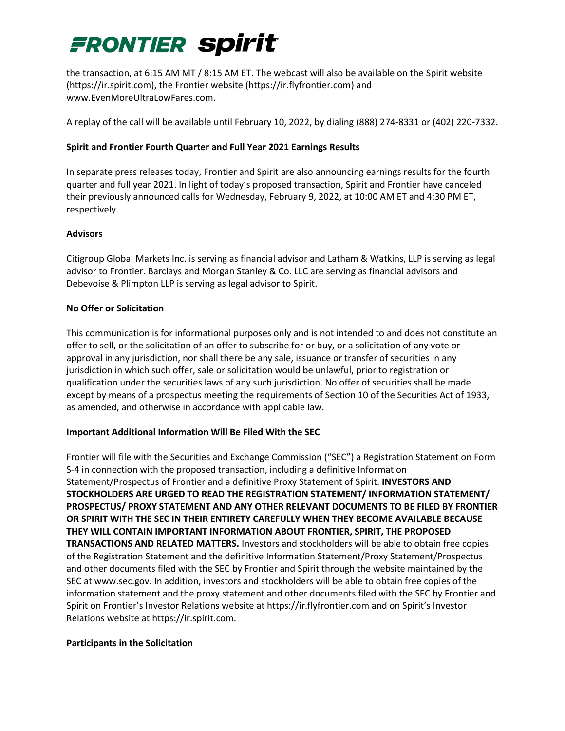the transaction, at 6:15 AM MT / 8:15 AM ET. The webcast will also be available on the Spirit website (https://ir.spirit.com), the Frontier website (https://ir.flyfrontier.com) and www.EvenMoreUltraLowFares.com.

A replay of the call will be available until February 10, 2022, by dialing (888) 274-8331 or (402) 220-7332.

# **Spirit and Frontier Fourth Quarter and Full Year 2021 Earnings Results**

In separate press releases today, Frontier and Spirit are also announcing earnings results for the fourth quarter and full year 2021. In light of today's proposed transaction, Spirit and Frontier have canceled their previously announced calls for Wednesday, February 9, 2022, at 10:00 AM ET and 4:30 PM ET, respectively.

### **Advisors**

Citigroup Global Markets Inc. is serving as financial advisor and Latham & Watkins, LLP is serving as legal advisor to Frontier. Barclays and Morgan Stanley & Co. LLC are serving as financial advisors and Debevoise & Plimpton LLP is serving as legal advisor to Spirit.

### **No Offer or Solicitation**

This communication is for informational purposes only and is not intended to and does not constitute an offer to sell, or the solicitation of an offer to subscribe for or buy, or a solicitation of any vote or approval in any jurisdiction, nor shall there be any sale, issuance or transfer of securities in any jurisdiction in which such offer, sale or solicitation would be unlawful, prior to registration or qualification under the securities laws of any such jurisdiction. No offer of securities shall be made except by means of a prospectus meeting the requirements of Section 10 of the Securities Act of 1933, as amended, and otherwise in accordance with applicable law.

# **Important Additional Information Will Be Filed With the SEC**

Frontier will file with the Securities and Exchange Commission ("SEC") a Registration Statement on Form S-4 in connection with the proposed transaction, including a definitive Information Statement/Prospectus of Frontier and a definitive Proxy Statement of Spirit. **INVESTORS AND STOCKHOLDERS ARE URGED TO READ THE REGISTRATION STATEMENT/ INFORMATION STATEMENT/ PROSPECTUS/ PROXY STATEMENT AND ANY OTHER RELEVANT DOCUMENTS TO BE FILED BY FRONTIER OR SPIRIT WITH THE SEC IN THEIR ENTIRETY CAREFULLY WHEN THEY BECOME AVAILABLE BECAUSE THEY WILL CONTAIN IMPORTANT INFORMATION ABOUT FRONTIER, SPIRIT, THE PROPOSED TRANSACTIONS AND RELATED MATTERS.** Investors and stockholders will be able to obtain free copies of the Registration Statement and the definitive Information Statement/Proxy Statement/Prospectus and other documents filed with the SEC by Frontier and Spirit through the website maintained by the SEC at www.sec.gov. In addition, investors and stockholders will be able to obtain free copies of the information statement and the proxy statement and other documents filed with the SEC by Frontier and Spirit on Frontier's Investor Relations website at https://ir.flyfrontier.com and on Spirit's Investor Relations website at https://ir.spirit.com.

#### **Participants in the Solicitation**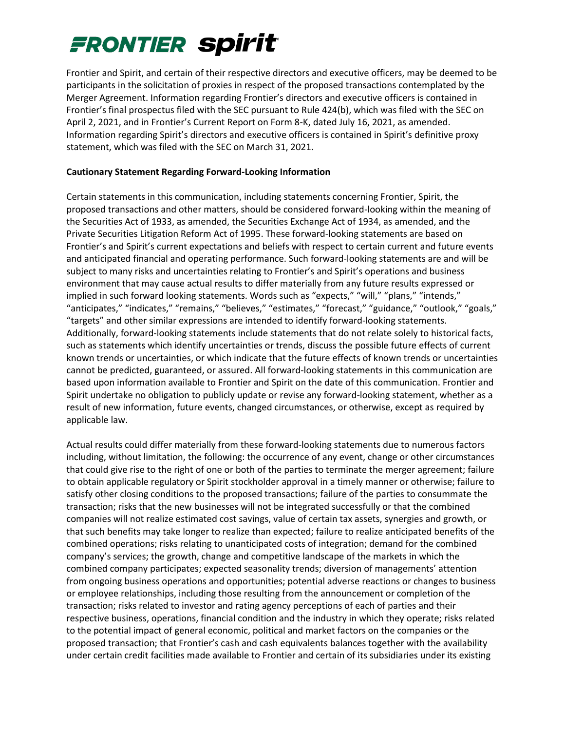Frontier and Spirit, and certain of their respective directors and executive officers, may be deemed to be participants in the solicitation of proxies in respect of the proposed transactions contemplated by the Merger Agreement. Information regarding Frontier's directors and executive officers is contained in Frontier's final prospectus filed with the SEC pursuant to Rule 424(b), which was filed with the SEC on April 2, 2021, and in Frontier's Current Report on Form 8-K, dated July 16, 2021, as amended. Information regarding Spirit's directors and executive officers is contained in Spirit's definitive proxy statement, which was filed with the SEC on March 31, 2021.

#### **Cautionary Statement Regarding Forward-Looking Information**

Certain statements in this communication, including statements concerning Frontier, Spirit, the proposed transactions and other matters, should be considered forward-looking within the meaning of the Securities Act of 1933, as amended, the Securities Exchange Act of 1934, as amended, and the Private Securities Litigation Reform Act of 1995. These forward-looking statements are based on Frontier's and Spirit's current expectations and beliefs with respect to certain current and future events and anticipated financial and operating performance. Such forward-looking statements are and will be subject to many risks and uncertainties relating to Frontier's and Spirit's operations and business environment that may cause actual results to differ materially from any future results expressed or implied in such forward looking statements. Words such as "expects," "will," "plans," "intends," "anticipates," "indicates," "remains," "believes," "estimates," "forecast," "guidance," "outlook," "goals," "targets" and other similar expressions are intended to identify forward-looking statements. Additionally, forward-looking statements include statements that do not relate solely to historical facts, such as statements which identify uncertainties or trends, discuss the possible future effects of current known trends or uncertainties, or which indicate that the future effects of known trends or uncertainties cannot be predicted, guaranteed, or assured. All forward-looking statements in this communication are based upon information available to Frontier and Spirit on the date of this communication. Frontier and Spirit undertake no obligation to publicly update or revise any forward-looking statement, whether as a result of new information, future events, changed circumstances, or otherwise, except as required by applicable law.

Actual results could differ materially from these forward-looking statements due to numerous factors including, without limitation, the following: the occurrence of any event, change or other circumstances that could give rise to the right of one or both of the parties to terminate the merger agreement; failure to obtain applicable regulatory or Spirit stockholder approval in a timely manner or otherwise; failure to satisfy other closing conditions to the proposed transactions; failure of the parties to consummate the transaction; risks that the new businesses will not be integrated successfully or that the combined companies will not realize estimated cost savings, value of certain tax assets, synergies and growth, or that such benefits may take longer to realize than expected; failure to realize anticipated benefits of the combined operations; risks relating to unanticipated costs of integration; demand for the combined company's services; the growth, change and competitive landscape of the markets in which the combined company participates; expected seasonality trends; diversion of managements' attention from ongoing business operations and opportunities; potential adverse reactions or changes to business or employee relationships, including those resulting from the announcement or completion of the transaction; risks related to investor and rating agency perceptions of each of parties and their respective business, operations, financial condition and the industry in which they operate; risks related to the potential impact of general economic, political and market factors on the companies or the proposed transaction; that Frontier's cash and cash equivalents balances together with the availability under certain credit facilities made available to Frontier and certain of its subsidiaries under its existing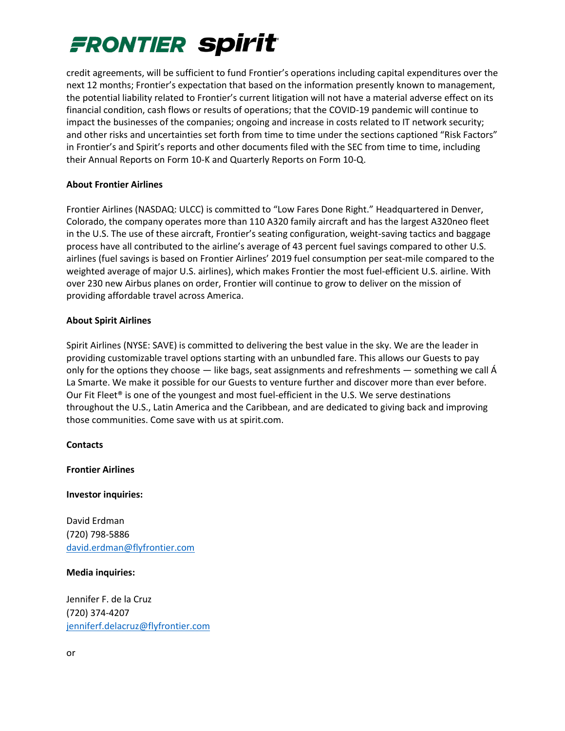credit agreements, will be sufficient to fund Frontier's operations including capital expenditures over the next 12 months; Frontier's expectation that based on the information presently known to management, the potential liability related to Frontier's current litigation will not have a material adverse effect on its financial condition, cash flows or results of operations; that the COVID-19 pandemic will continue to impact the businesses of the companies; ongoing and increase in costs related to IT network security; and other risks and uncertainties set forth from time to time under the sections captioned "Risk Factors" in Frontier's and Spirit's reports and other documents filed with the SEC from time to time, including their Annual Reports on Form 10-K and Quarterly Reports on Form 10-Q.

### **About Frontier Airlines**

Frontier Airlines (NASDAQ: ULCC) is committed to "Low Fares Done Right." Headquartered in Denver, Colorado, the company operates more than 110 A320 family aircraft and has the largest A320neo fleet in the U.S. The use of these aircraft, Frontier's seating configuration, weight-saving tactics and baggage process have all contributed to the airline's average of 43 percent fuel savings compared to other U.S. airlines (fuel savings is based on Frontier Airlines' 2019 fuel consumption per seat-mile compared to the weighted average of major U.S. airlines), which makes Frontier the most fuel-efficient U.S. airline. With over 230 new Airbus planes on order, Frontier will continue to grow to deliver on the mission of providing affordable travel across America.

### **About Spirit Airlines**

Spirit Airlines (NYSE: SAVE) is committed to delivering the best value in the sky. We are the leader in providing customizable travel options starting with an unbundled fare. This allows our Guests to pay only for the options they choose — like bags, seat assignments and refreshments — something we call Á La Smarte. We make it possible for our Guests to venture further and discover more than ever before. Our Fit Fleet® is one of the youngest and most fuel-efficient in the U.S. We serve destinations throughout the U.S., Latin America and the Caribbean, and are dedicated to giving back and improving those communities. Come save with us at spirit.com.

#### **Contacts**

**Frontier Airlines**

#### **Investor inquiries:**

David Erdman (720) 798-5886 [david.erdman@flyfrontier.com](mailto:david.erdman@flyfrontier.com)

#### **Media inquiries:**

Jennifer F. de la Cruz (720) 374-4207 [jenniferf.delacruz@flyfrontier.com](mailto:jenniferf.delacruz@flyfrontier.com)